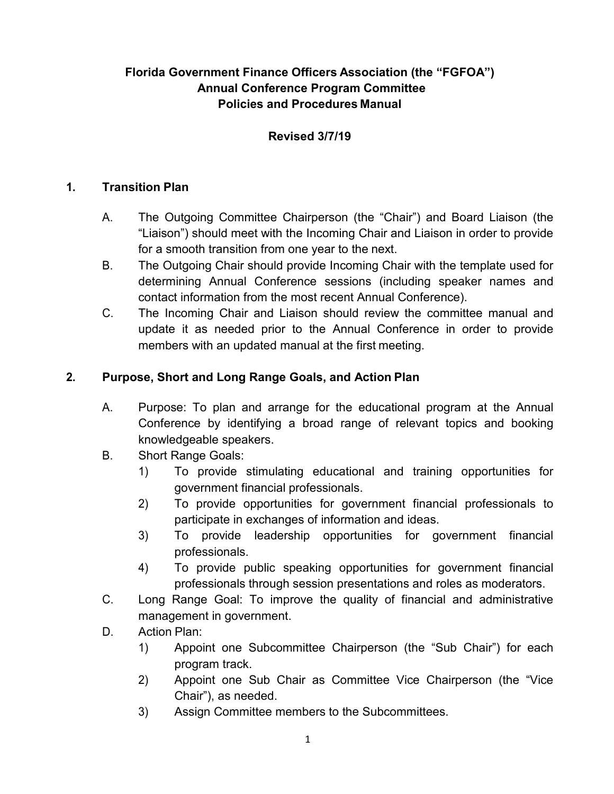## **Florida Government Finance Officers Association (the "FGFOA") Annual Conference Program Committee Policies and Procedures Manual**

## **Revised 3/7/19**

#### **1. Transition Plan**

- A. The Outgoing Committee Chairperson (the "Chair") and Board Liaison (the "Liaison") should meet with the Incoming Chair and Liaison in order to provide for a smooth transition from one year to the next.
- B. The Outgoing Chair should provide Incoming Chair with the template used for determining Annual Conference sessions (including speaker names and contact information from the most recent Annual Conference).
- C. The Incoming Chair and Liaison should review the committee manual and update it as needed prior to the Annual Conference in order to provide members with an updated manual at the first meeting.

#### **2. Purpose, Short and Long Range Goals, and Action Plan**

- A. Purpose: To plan and arrange for the educational program at the Annual Conference by identifying a broad range of relevant topics and booking knowledgeable speakers.
- B. Short Range Goals:
	- 1) To provide stimulating educational and training opportunities for government financial professionals.
	- 2) To provide opportunities for government financial professionals to participate in exchanges of information and ideas.
	- 3) To provide leadership opportunities for government financial professionals.
	- 4) To provide public speaking opportunities for government financial professionals through session presentations and roles as moderators.
- C. Long Range Goal: To improve the quality of financial and administrative management in government.
- D. Action Plan:
	- 1) Appoint one Subcommittee Chairperson (the "Sub Chair") for each program track.
	- 2) Appoint one Sub Chair as Committee Vice Chairperson (the "Vice Chair"), as needed.
	- 3) Assign Committee members to the Subcommittees.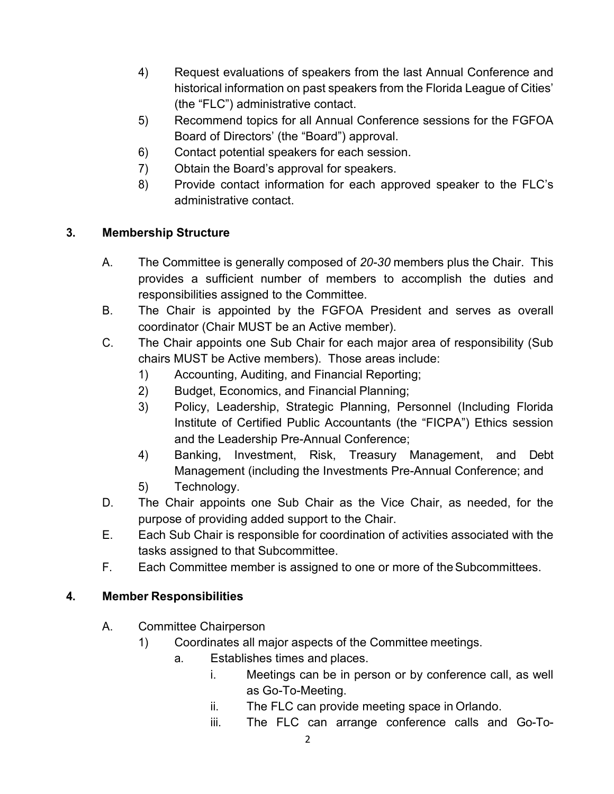- 4) Request evaluations of speakers from the last Annual Conference and historical information on past speakers from the Florida League of Cities' (the "FLC") administrative contact.
- 5) Recommend topics for all Annual Conference sessions for the FGFOA Board of Directors' (the "Board") approval.
- 6) Contact potential speakers for each session.
- 7) Obtain the Board's approval for speakers.
- 8) Provide contact information for each approved speaker to the FLC's administrative contact.

## **3. Membership Structure**

- A. The Committee is generally composed of *20-30* members plus the Chair. This provides a sufficient number of members to accomplish the duties and responsibilities assigned to the Committee.
- B. The Chair is appointed by the FGFOA President and serves as overall coordinator (Chair MUST be an Active member).
- C. The Chair appoints one Sub Chair for each major area of responsibility (Sub chairs MUST be Active members). Those areas include:
	- 1) Accounting, Auditing, and Financial Reporting;
	- 2) Budget, Economics, and Financial Planning;
	- 3) Policy, Leadership, Strategic Planning, Personnel (Including Florida Institute of Certified Public Accountants (the "FICPA") Ethics session and the Leadership Pre-Annual Conference;
	- 4) Banking, Investment, Risk, Treasury Management, and Debt Management (including the Investments Pre-Annual Conference; and
	- 5) Technology.
- D. The Chair appoints one Sub Chair as the Vice Chair, as needed, for the purpose of providing added support to the Chair.
- E. Each Sub Chair is responsible for coordination of activities associated with the tasks assigned to that Subcommittee.
- F. Each Committee member is assigned to one or more of the Subcommittees.

# **4. Member Responsibilities**

- A. Committee Chairperson
	- 1) Coordinates all major aspects of the Committee meetings.
		- a. Establishes times and places.
			- i. Meetings can be in person or by conference call, as well as Go-To-Meeting.
			- ii. The FLC can provide meeting space in Orlando.
			- iii. The FLC can arrange conference calls and Go-To-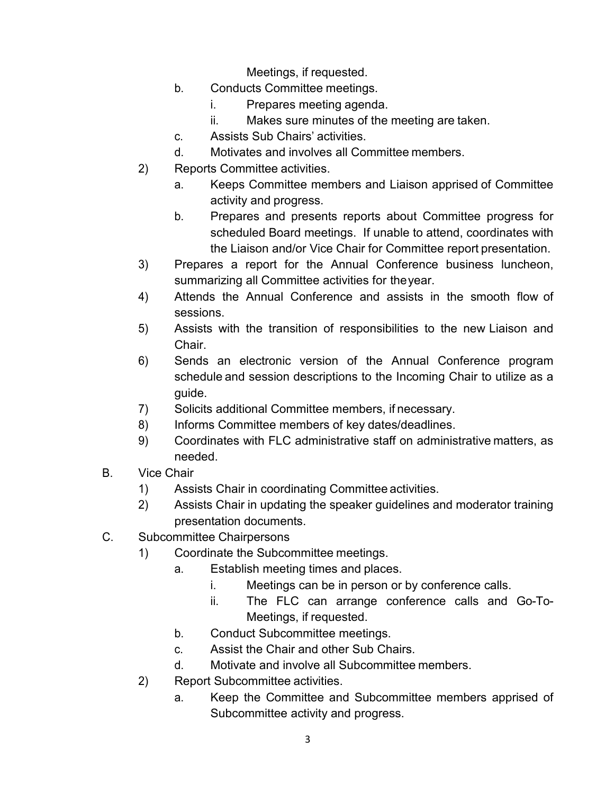Meetings, if requested.

- b. Conducts Committee meetings.
	- i. Prepares meeting agenda.
	- ii. Makes sure minutes of the meeting are taken.
- c. Assists Sub Chairs' activities.
- d. Motivates and involves all Committee members.
- 2) Reports Committee activities.
	- a. Keeps Committee members and Liaison apprised of Committee activity and progress.
	- b. Prepares and presents reports about Committee progress for scheduled Board meetings. If unable to attend, coordinates with the Liaison and/or Vice Chair for Committee report presentation.
- 3) Prepares a report for the Annual Conference business luncheon, summarizing all Committee activities for theyear.
- 4) Attends the Annual Conference and assists in the smooth flow of sessions.
- 5) Assists with the transition of responsibilities to the new Liaison and Chair.
- 6) Sends an electronic version of the Annual Conference program schedule and session descriptions to the Incoming Chair to utilize as a guide.
- 7) Solicits additional Committee members, if necessary.
- 8) Informs Committee members of key dates/deadlines.
- 9) Coordinates with FLC administrative staff on administrative matters, as needed.
- B. Vice Chair
	- 1) Assists Chair in coordinating Committee activities.
	- 2) Assists Chair in updating the speaker guidelines and moderator training presentation documents.
- C. Subcommittee Chairpersons
	- 1) Coordinate the Subcommittee meetings.
		- a. Establish meeting times and places.
			- i. Meetings can be in person or by conference calls.
			- ii. The FLC can arrange conference calls and Go-To-Meetings, if requested.
		- b. Conduct Subcommittee meetings.
		- c. Assist the Chair and other Sub Chairs.
		- d. Motivate and involve all Subcommittee members.
	- 2) Report Subcommittee activities.
		- a. Keep the Committee and Subcommittee members apprised of Subcommittee activity and progress.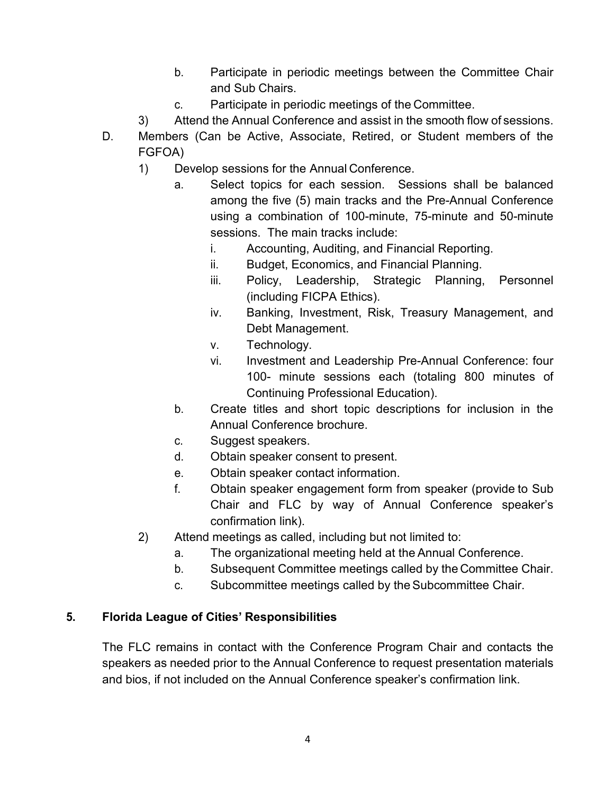- b. Participate in periodic meetings between the Committee Chair and Sub Chairs.
- c. Participate in periodic meetings of the Committee.
- 3) Attend the Annual Conference and assist in the smooth flow of sessions.
- D. Members (Can be Active, Associate, Retired, or Student members of the FGFOA)
	- 1) Develop sessions for the Annual Conference.
		- a. Select topics for each session. Sessions shall be balanced among the five (5) main tracks and the Pre-Annual Conference using a combination of 100-minute, 75-minute and 50-minute sessions. The main tracks include:
			- i. Accounting, Auditing, and Financial Reporting.
			- ii. Budget, Economics, and Financial Planning.
			- iii. Policy, Leadership, Strategic Planning, Personnel (including FICPA Ethics).
			- iv. Banking, Investment, Risk, Treasury Management, and Debt Management.
			- v. Technology.
			- vi. Investment and Leadership Pre-Annual Conference: four 100- minute sessions each (totaling 800 minutes of Continuing Professional Education).
		- b. Create titles and short topic descriptions for inclusion in the Annual Conference brochure.
		- c. Suggest speakers.
		- d. Obtain speaker consent to present.
		- e. Obtain speaker contact information.
		- f. Obtain speaker engagement form from speaker (provide to Sub Chair and FLC by way of Annual Conference speaker's confirmation link).
	- 2) Attend meetings as called, including but not limited to:
		- a. The organizational meeting held at the Annual Conference.
		- b. Subsequent Committee meetings called by the Committee Chair.
		- c. Subcommittee meetings called by theSubcommittee Chair.

#### **5. Florida League of Cities' Responsibilities**

The FLC remains in contact with the Conference Program Chair and contacts the speakers as needed prior to the Annual Conference to request presentation materials and bios, if not included on the Annual Conference speaker's confirmation link.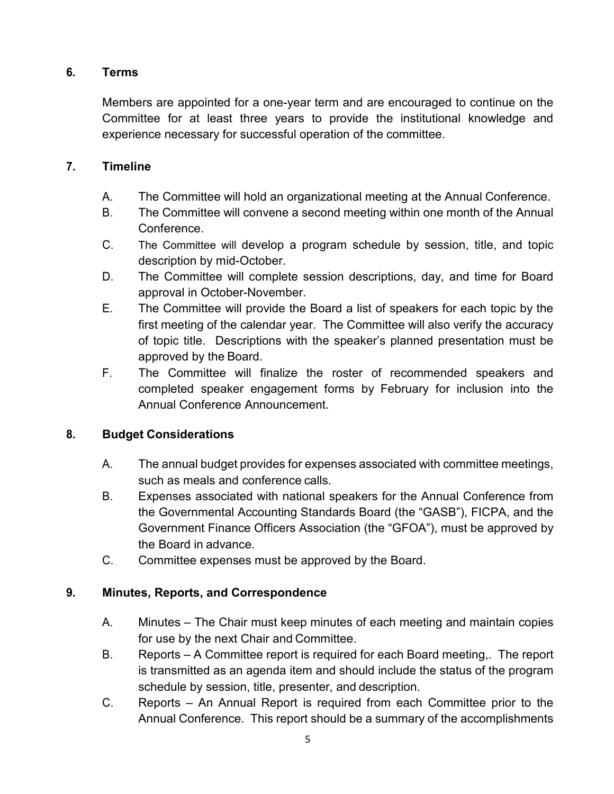## **6. Terms**

Members are appointed for a one-year term and are encouraged to continue on the Committee for at least three years to provide the institutional knowledge and experience necessary for successful operation of the committee.

### **7. Timeline**

- A. The Committee will hold an organizational meeting at the Annual Conference.
- B. The Committee will convene a second meeting within one month of the Annual **Conference**
- C. The Committee will develop a program schedule by session, title, and topic description by mid-October.
- D. The Committee will complete session descriptions, day, and time for Board approval in October-November.
- E. The Committee will provide the Board a list of speakers for each topic by the first meeting of the calendar year. The Committee will also verify the accuracy of topic title. Descriptions with the speaker's planned presentation must be approved by the Board.
- F. The Committee will finalize the roster of recommended speakers and completed speaker engagement forms by February for inclusion into the Annual Conference Announcement.

#### **8. Budget Considerations**

- A. The annual budget provides for expenses associated with committee meetings, such as meals and conference calls.
- B. Expenses associated with national speakers for the Annual Conference from the Governmental Accounting Standards Board (the "GASB"), FICPA, and the Government Finance Officers Association (the "GFOA"), must be approved by the Board in advance.
- C. Committee expenses must be approved by the Board.

# **9. Minutes, Reports, and Correspondence**

- A. Minutes The Chair must keep minutes of each meeting and maintain copies for use by the next Chair and Committee.
- B. Reports A Committee report is required for each Board meeting,. The report is transmitted as an agenda item and should include the status of the program schedule by session, title, presenter, and description.
- C. Reports An Annual Report is required from each Committee prior to the Annual Conference. This report should be a summary of the accomplishments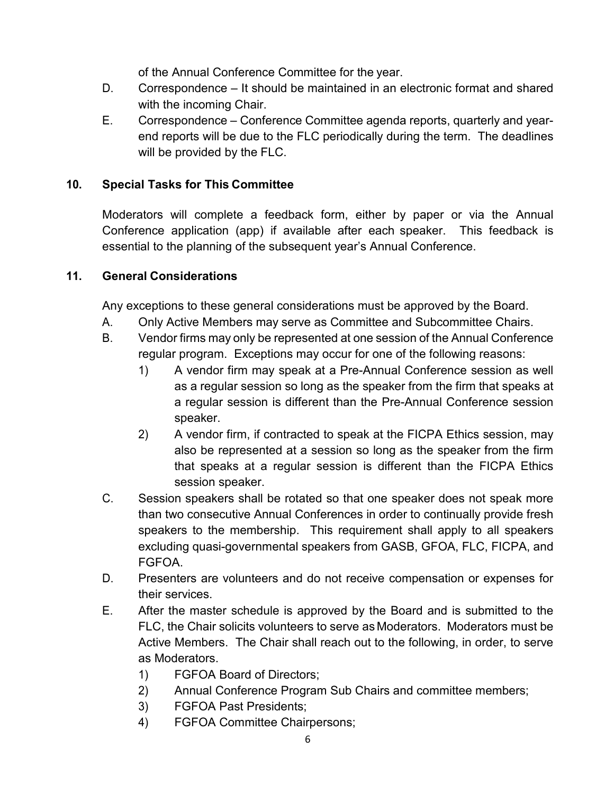of the Annual Conference Committee for the year.

- D. Correspondence It should be maintained in an electronic format and shared with the incoming Chair.
- E. Correspondence Conference Committee agenda reports, quarterly and yearend reports will be due to the FLC periodically during the term. The deadlines will be provided by the FLC.

## **10. Special Tasks for This Committee**

Moderators will complete a feedback form, either by paper or via the Annual Conference application (app) if available after each speaker. This feedback is essential to the planning of the subsequent year's Annual Conference.

#### **11. General Considerations**

Any exceptions to these general considerations must be approved by the Board.

- A. Only Active Members may serve as Committee and Subcommittee Chairs.
- B. Vendor firms may only be represented at one session of the Annual Conference regular program. Exceptions may occur for one of the following reasons:
	- 1) A vendor firm may speak at a Pre-Annual Conference session as well as a regular session so long as the speaker from the firm that speaks at a regular session is different than the Pre-Annual Conference session speaker.
	- 2) A vendor firm, if contracted to speak at the FICPA Ethics session, may also be represented at a session so long as the speaker from the firm that speaks at a regular session is different than the FICPA Ethics session speaker.
- C. Session speakers shall be rotated so that one speaker does not speak more than two consecutive Annual Conferences in order to continually provide fresh speakers to the membership. This requirement shall apply to all speakers excluding quasi-governmental speakers from GASB, GFOA, FLC, FICPA, and FGFOA.
- D. Presenters are volunteers and do not receive compensation or expenses for their services.
- E. After the master schedule is approved by the Board and is submitted to the FLC, the Chair solicits volunteers to serve as Moderators. Moderators must be Active Members. The Chair shall reach out to the following, in order, to serve as Moderators.
	- 1) FGFOA Board of Directors;
	- 2) Annual Conference Program Sub Chairs and committee members;
	- 3) FGFOA Past Presidents;
	- 4) FGFOA Committee Chairpersons;